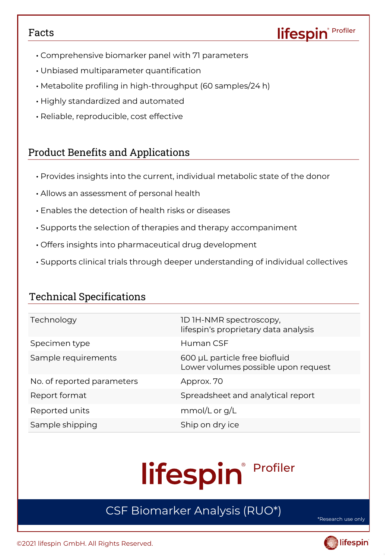## Facts

- Comprehensive biomarker panel with 71 parameters
- Unbiased multiparameter quantification
- Metabolite profiling in high-throughput (60 samples/24 h)
- Highly standardized and automated
- Reliable, reproducible, cost effective

# Product Benefits and Applications

- Provides insights into the current, individual metabolic state of the donor
- Allows an assessment of personal health
- Enables the detection of health risks or diseases
- Supports the selection of therapies and therapy accompaniment
- Offers insights into pharmaceutical drug development
- Supports clinical trials through deeper understanding of individual collectives

# Technical Specifications

| Technology                 | ID IH-NMR spectroscopy,<br>lifespin's proprietary data analysis      |
|----------------------------|----------------------------------------------------------------------|
| Specimen type              | Human CSE                                                            |
| Sample requirements        | 600 µL particle free biofluid<br>Lower volumes possible upon request |
| No. of reported parameters | Approx. 70                                                           |
| Report format              | Spreadsheet and analytical report                                    |
| Reported units             | mmol/L or $g/L$                                                      |
| Sample shipping            | Ship on dry ice                                                      |

# Profiler lifespin®

# CSF Biomarker Analysis (RUO\*)

\*Research use only

Profiler

lifespin®

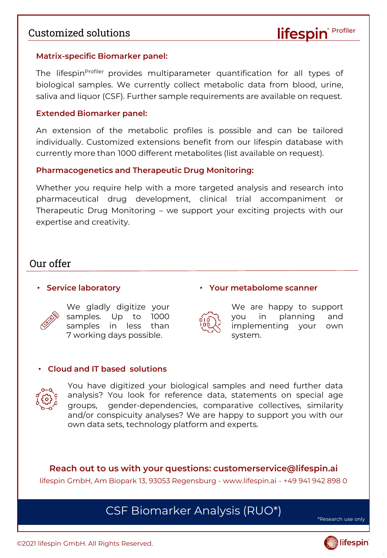## Customized solutions

#### **Matrix-specific Biomarker panel:**

The lifespin<sup>profiler</sup> provides multiparameter quantification for all types of biological samples. We currently collect metabolic data from blood, urine, saliva and liquor (CSF). Further sample requirements are available on request.

#### **Extended Biomarker panel:**

An extension of the metabolic profiles is possible and can be tailored individually. Customized extensions benefit from our lifespin database with currently more than 1000 different metabolites (list available on request).

### **Pharmacogenetics and Therapeutic Drug Monitoring:**

Whether you require help with a more targeted analysis and research into pharmaceutical drug development, clinical trial accompaniment or Therapeutic Drug Monitoring – we support your exciting projects with our expertise and creativity.

## Our offer

### • **Service laboratory**



We gladly digitize your samples. Up to 1000 samples in less than 7 working days possible.



We are happy to support you in planning and implementing your own

• **Your metabolome scanner**

system.

#### • **Cloud and IT based solutions**



You have digitized your biological samples and need further data analysis? You look for reference data, statements on special age groups, gender-dependencies, comparative collectives, similarity and/or conspicuity analyses? We are happy to support you with our own data sets, technology platform and experts.

**Reach out to us with your questions: customerservice@lifespin.ai**  lifespin GmbH, Am Biopark 13, 93053 Regensburg - www.lifespin.ai - +49 941 942 898 0

# CSF Biomarker Analysis (RUO\*)

\*Research use only

Profiler

lifespin